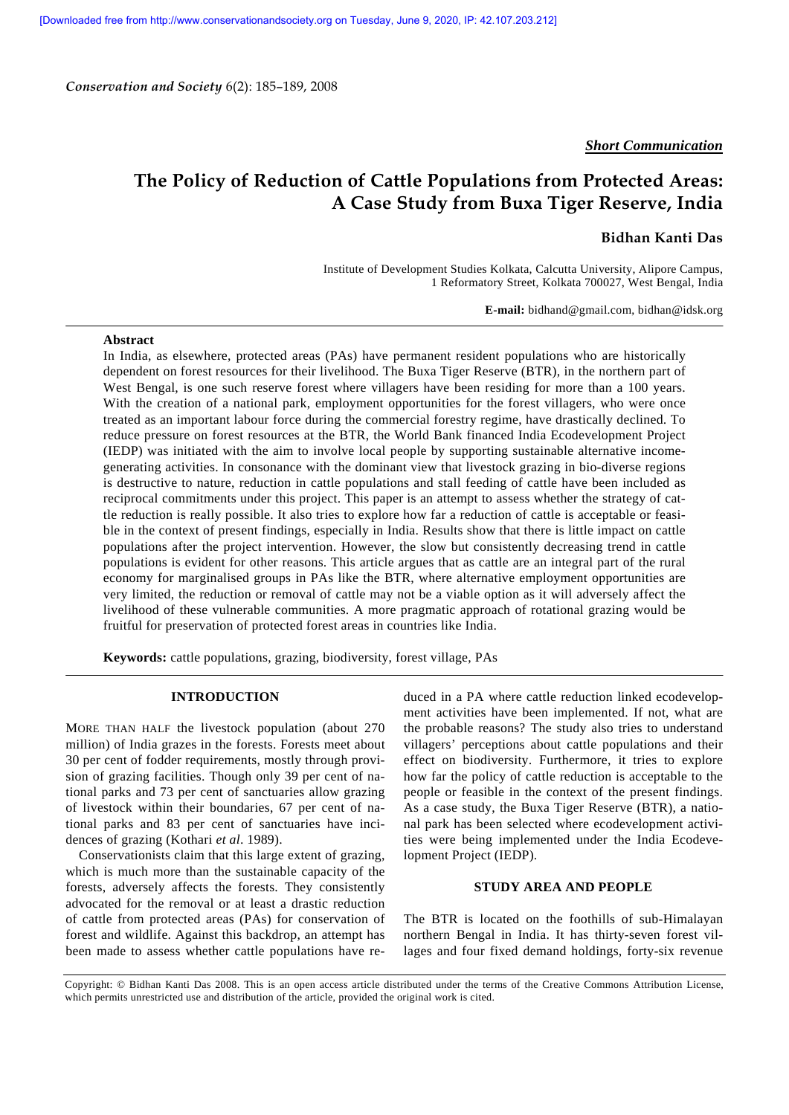*Conservation and Society* 6(2): 185–189, 2008

*Short Communication*

# **The Policy of Reduction of Cattle Populations from Protected Areas: A Case Study from Buxa Tiger Reserve, India**

# **Bidhan Kanti Das**

Institute of Development Studies Kolkata, Calcutta University, Alipore Campus, 1 Reformatory Street, Kolkata 700027, West Bengal, India

**E-mail:** bidhand@gmail.com, bidhan@idsk.org

## **Abstract**

In India, as elsewhere, protected areas (PAs) have permanent resident populations who are historically dependent on forest resources for their livelihood. The Buxa Tiger Reserve (BTR), in the northern part of West Bengal, is one such reserve forest where villagers have been residing for more than a 100 years. With the creation of a national park, employment opportunities for the forest villagers, who were once treated as an important labour force during the commercial forestry regime, have drastically declined. To reduce pressure on forest resources at the BTR, the World Bank financed India Ecodevelopment Project (IEDP) was initiated with the aim to involve local people by supporting sustainable alternative incomegenerating activities. In consonance with the dominant view that livestock grazing in bio-diverse regions is destructive to nature, reduction in cattle populations and stall feeding of cattle have been included as reciprocal commitments under this project. This paper is an attempt to assess whether the strategy of cattle reduction is really possible. It also tries to explore how far a reduction of cattle is acceptable or feasible in the context of present findings, especially in India. Results show that there is little impact on cattle populations after the project intervention. However, the slow but consistently decreasing trend in cattle populations is evident for other reasons. This article argues that as cattle are an integral part of the rural economy for marginalised groups in PAs like the BTR, where alternative employment opportunities are very limited, the reduction or removal of cattle may not be a viable option as it will adversely affect the livelihood of these vulnerable communities. A more pragmatic approach of rotational grazing would be fruitful for preservation of protected forest areas in countries like India.

**Keywords:** cattle populations, grazing, biodiversity, forest village, PAs

# **INTRODUCTION**

MORE THAN HALF the livestock population (about 270 million) of India grazes in the forests. Forests meet about 30 per cent of fodder requirements, mostly through provision of grazing facilities. Though only 39 per cent of national parks and 73 per cent of sanctuaries allow grazing of livestock within their boundaries, 67 per cent of national parks and 83 per cent of sanctuaries have incidences of grazing (Kothari *et al*. 1989).

 Conservationists claim that this large extent of grazing, which is much more than the sustainable capacity of the forests, adversely affects the forests. They consistently advocated for the removal or at least a drastic reduction of cattle from protected areas (PAs) for conservation of forest and wildlife. Against this backdrop, an attempt has been made to assess whether cattle populations have reduced in a PA where cattle reduction linked ecodevelopment activities have been implemented. If not, what are the probable reasons? The study also tries to understand villagers' perceptions about cattle populations and their effect on biodiversity. Furthermore, it tries to explore how far the policy of cattle reduction is acceptable to the people or feasible in the context of the present findings. As a case study, the Buxa Tiger Reserve (BTR), a national park has been selected where ecodevelopment activities were being implemented under the India Ecodevelopment Project (IEDP).

#### **STUDY AREA AND PEOPLE**

The BTR is located on the foothills of sub-Himalayan northern Bengal in India. It has thirty-seven forest villages and four fixed demand holdings, forty-six revenue

Copyright: © Bidhan Kanti Das 2008. This is an open access article distributed under the terms of the Creative Commons Attribution License, which permits unrestricted use and distribution of the article, provided the original work is cited.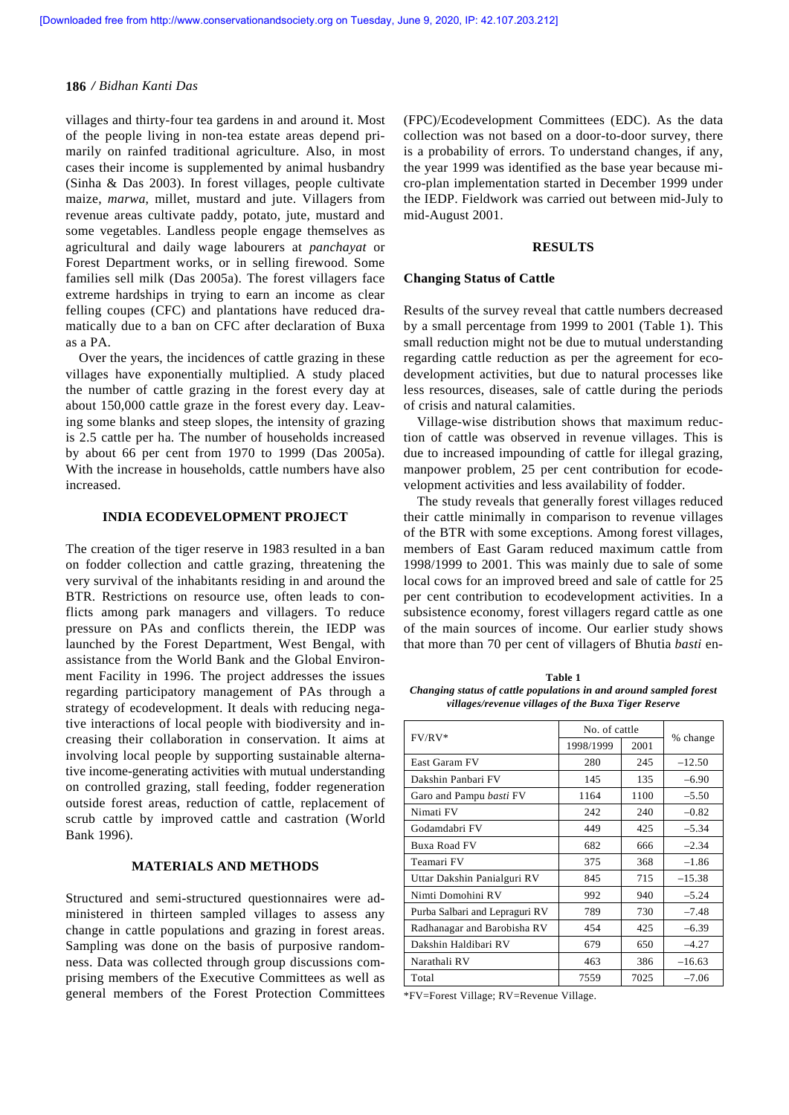#### **186** */ Bidhan Kanti Das*

villages and thirty-four tea gardens in and around it. Most of the people living in non-tea estate areas depend primarily on rainfed traditional agriculture. Also, in most cases their income is supplemented by animal husbandry (Sinha & Das 2003). In forest villages, people cultivate maize, *marwa*, millet, mustard and jute. Villagers from revenue areas cultivate paddy, potato, jute, mustard and some vegetables. Landless people engage themselves as agricultural and daily wage labourers at *panchayat* or Forest Department works, or in selling firewood. Some families sell milk (Das 2005a). The forest villagers face extreme hardships in trying to earn an income as clear felling coupes (CFC) and plantations have reduced dramatically due to a ban on CFC after declaration of Buxa as a PA.

 Over the years, the incidences of cattle grazing in these villages have exponentially multiplied. A study placed the number of cattle grazing in the forest every day at about 150,000 cattle graze in the forest every day. Leaving some blanks and steep slopes, the intensity of grazing is 2.5 cattle per ha. The number of households increased by about 66 per cent from 1970 to 1999 (Das 2005a). With the increase in households, cattle numbers have also increased.

# **INDIA ECODEVELOPMENT PROJECT**

The creation of the tiger reserve in 1983 resulted in a ban on fodder collection and cattle grazing, threatening the very survival of the inhabitants residing in and around the BTR. Restrictions on resource use, often leads to conflicts among park managers and villagers. To reduce pressure on PAs and conflicts therein, the IEDP was launched by the Forest Department, West Bengal, with assistance from the World Bank and the Global Environment Facility in 1996. The project addresses the issues regarding participatory management of PAs through a strategy of ecodevelopment. It deals with reducing negative interactions of local people with biodiversity and increasing their collaboration in conservation. It aims at involving local people by supporting sustainable alternative income-generating activities with mutual understanding on controlled grazing, stall feeding, fodder regeneration outside forest areas, reduction of cattle, replacement of scrub cattle by improved cattle and castration (World Bank 1996).

# **MATERIALS AND METHODS**

Structured and semi-structured questionnaires were administered in thirteen sampled villages to assess any change in cattle populations and grazing in forest areas. Sampling was done on the basis of purposive randomness. Data was collected through group discussions comprising members of the Executive Committees as well as general members of the Forest Protection Committees (FPC)/Ecodevelopment Committees (EDC). As the data collection was not based on a door-to-door survey, there is a probability of errors. To understand changes, if any, the year 1999 was identified as the base year because micro-plan implementation started in December 1999 under the IEDP. Fieldwork was carried out between mid-July to mid-August 2001.

#### **RESULTS**

### **Changing Status of Cattle**

Results of the survey reveal that cattle numbers decreased by a small percentage from 1999 to 2001 (Table 1). This small reduction might not be due to mutual understanding regarding cattle reduction as per the agreement for ecodevelopment activities, but due to natural processes like less resources, diseases, sale of cattle during the periods of crisis and natural calamities.

 Village-wise distribution shows that maximum reduction of cattle was observed in revenue villages. This is due to increased impounding of cattle for illegal grazing, manpower problem, 25 per cent contribution for ecodevelopment activities and less availability of fodder.

 The study reveals that generally forest villages reduced their cattle minimally in comparison to revenue villages of the BTR with some exceptions. Among forest villages, members of East Garam reduced maximum cattle from 1998/1999 to 2001. This was mainly due to sale of some local cows for an improved breed and sale of cattle for 25 per cent contribution to ecodevelopment activities. In a subsistence economy, forest villagers regard cattle as one of the main sources of income. Our earlier study shows that more than 70 per cent of villagers of Bhutia *basti* en-

**Table 1** *Changing status of cattle populations in and around sampled forest villages/revenue villages of the Buxa Tiger Reserve* 

|                                | No. of cattle |      |          |
|--------------------------------|---------------|------|----------|
| $FV/RV^*$                      | 1998/1999     | 2001 | % change |
| East Garam FV                  | 280           | 245  | $-12.50$ |
| Dakshin Panbari FV             | 145           | 135  | $-6.90$  |
| Garo and Pampu <i>basti</i> FV | 1164          | 1100 | $-5.50$  |
| Nimati FV                      | 242           | 240  | $-0.82$  |
| Godamdabri FV                  | 449           | 425  | $-5.34$  |
| Buxa Road FV                   | 682           | 666  | $-2.34$  |
| Teamari FV                     | 375           | 368  | $-1.86$  |
| Uttar Dakshin Panialguri RV    | 845           | 715  | $-15.38$ |
| Nimti Domohini RV              | 992           | 940  | $-5.24$  |
| Purba Salbari and Lepraguri RV | 789           | 730  | $-7.48$  |
| Radhanagar and Barobisha RV    | 454           | 425  | $-6.39$  |
| Dakshin Haldibari RV           | 679           | 650  | $-4.27$  |
| Narathali RV                   | 463           | 386  | $-16.63$ |
| Total                          | 7559          | 7025 | $-7.06$  |

\*FV=Forest Village; RV=Revenue Village.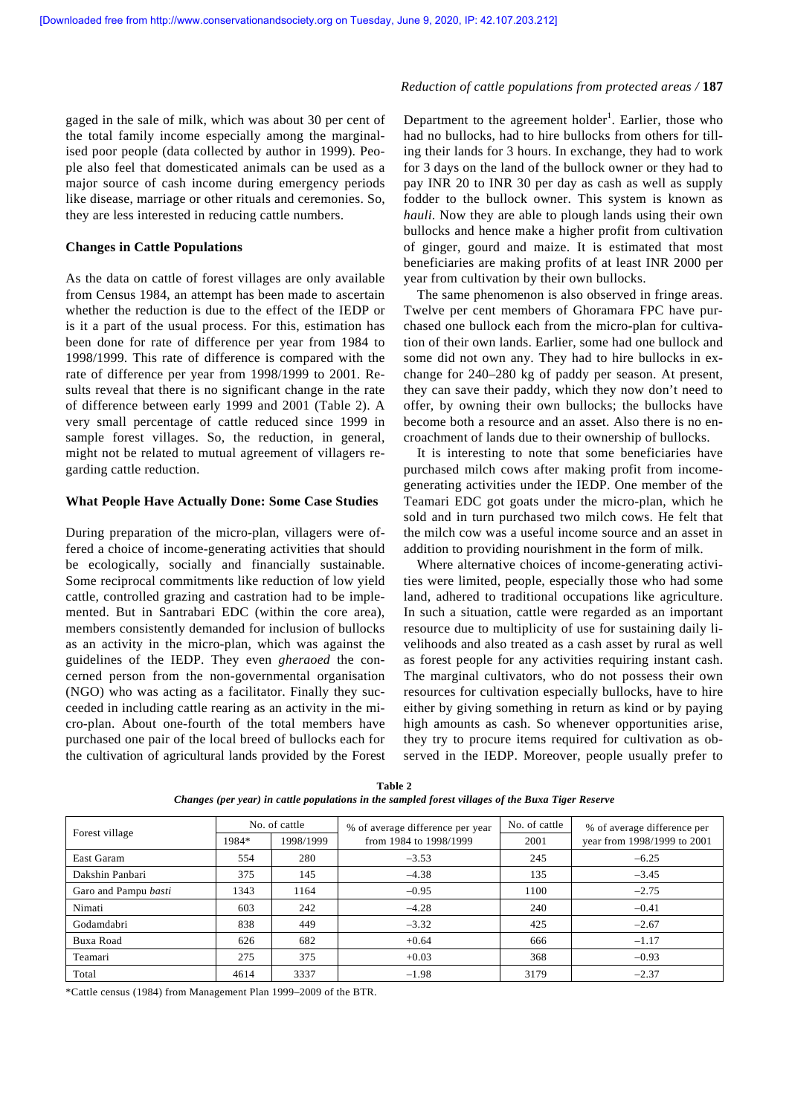gaged in the sale of milk, which was about 30 per cent of the total family income especially among the marginalised poor people (data collected by author in 1999). People also feel that domesticated animals can be used as a major source of cash income during emergency periods like disease, marriage or other rituals and ceremonies. So, they are less interested in reducing cattle numbers.

### **Changes in Cattle Populations**

As the data on cattle of forest villages are only available from Census 1984, an attempt has been made to ascertain whether the reduction is due to the effect of the IEDP or is it a part of the usual process. For this, estimation has been done for rate of difference per year from 1984 to 1998/1999. This rate of difference is compared with the rate of difference per year from 1998/1999 to 2001. Results reveal that there is no significant change in the rate of difference between early 1999 and 2001 (Table 2). A very small percentage of cattle reduced since 1999 in sample forest villages. So, the reduction, in general, might not be related to mutual agreement of villagers regarding cattle reduction.

### **What People Have Actually Done: Some Case Studies**

During preparation of the micro-plan, villagers were offered a choice of income-generating activities that should be ecologically, socially and financially sustainable. Some reciprocal commitments like reduction of low yield cattle, controlled grazing and castration had to be implemented. But in Santrabari EDC (within the core area), members consistently demanded for inclusion of bullocks as an activity in the micro-plan, which was against the guidelines of the IEDP. They even *gheraoed* the concerned person from the non-governmental organisation (NGO) who was acting as a facilitator. Finally they succeeded in including cattle rearing as an activity in the micro-plan. About one-fourth of the total members have purchased one pair of the local breed of bullocks each for the cultivation of agricultural lands provided by the Forest

Department to the agreement holder<sup>1</sup>. Earlier, those who had no bullocks, had to hire bullocks from others for tilling their lands for 3 hours. In exchange, they had to work for 3 days on the land of the bullock owner or they had to pay INR 20 to INR 30 per day as cash as well as supply fodder to the bullock owner. This system is known as *hauli*. Now they are able to plough lands using their own bullocks and hence make a higher profit from cultivation of ginger, gourd and maize. It is estimated that most beneficiaries are making profits of at least INR 2000 per year from cultivation by their own bullocks.

 The same phenomenon is also observed in fringe areas. Twelve per cent members of Ghoramara FPC have purchased one bullock each from the micro-plan for cultivation of their own lands. Earlier, some had one bullock and some did not own any. They had to hire bullocks in exchange for 240–280 kg of paddy per season. At present, they can save their paddy, which they now don't need to offer, by owning their own bullocks; the bullocks have become both a resource and an asset. Also there is no encroachment of lands due to their ownership of bullocks.

 It is interesting to note that some beneficiaries have purchased milch cows after making profit from incomegenerating activities under the IEDP. One member of the Teamari EDC got goats under the micro-plan, which he sold and in turn purchased two milch cows. He felt that the milch cow was a useful income source and an asset in addition to providing nourishment in the form of milk.

 Where alternative choices of income-generating activities were limited, people, especially those who had some land, adhered to traditional occupations like agriculture. In such a situation, cattle were regarded as an important resource due to multiplicity of use for sustaining daily livelihoods and also treated as a cash asset by rural as well as forest people for any activities requiring instant cash. The marginal cultivators, who do not possess their own resources for cultivation especially bullocks, have to hire either by giving something in return as kind or by paying high amounts as cash. So whenever opportunities arise, they try to procure items required for cultivation as observed in the IEDP. Moreover, people usually prefer to

| Forest village       | 1984* | No. of cattle<br>1998/1999 | % of average difference per year<br>from 1984 to 1998/1999 | No. of cattle<br>2001 | % of average difference per<br>year from 1998/1999 to 2001 |
|----------------------|-------|----------------------------|------------------------------------------------------------|-----------------------|------------------------------------------------------------|
| East Garam           | 554   | 280                        | $-3.53$                                                    | 245                   | $-6.25$                                                    |
| Dakshin Panbari      | 375   | 145                        | $-4.38$                                                    | 135                   | $-3.45$                                                    |
| Garo and Pampu basti | 1343  | 1164                       | $-0.95$                                                    | 1100                  | $-2.75$                                                    |
| Nimati               | 603   | 242                        | $-4.28$                                                    | 240                   | $-0.41$                                                    |
| Godamdabri           | 838   | 449                        | $-3.32$                                                    | 425                   | $-2.67$                                                    |
| Buxa Road            | 626   | 682                        | $+0.64$                                                    | 666                   | $-1.17$                                                    |
| Teamari              | 275   | 375                        | $+0.03$                                                    | 368                   | $-0.93$                                                    |
| Total                | 4614  | 3337                       | $-1.98$                                                    | 3179                  | $-2.37$                                                    |

**Table 2** *Changes (per year) in cattle populations in the sampled forest villages of the Buxa Tiger Reserve* 

\*Cattle census (1984) from Management Plan 1999–2009 of the BTR.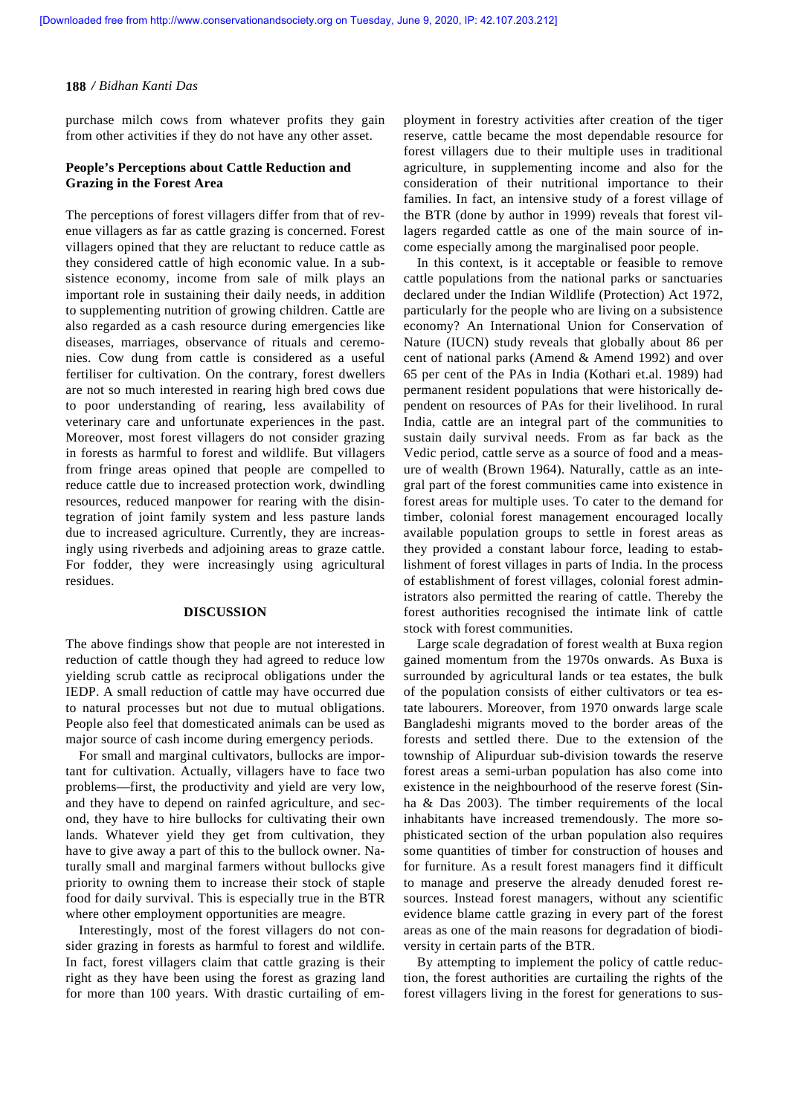#### **188** */ Bidhan Kanti Das*

purchase milch cows from whatever profits they gain from other activities if they do not have any other asset.

## **People's Perceptions about Cattle Reduction and Grazing in the Forest Area**

The perceptions of forest villagers differ from that of revenue villagers as far as cattle grazing is concerned. Forest villagers opined that they are reluctant to reduce cattle as they considered cattle of high economic value. In a subsistence economy, income from sale of milk plays an important role in sustaining their daily needs, in addition to supplementing nutrition of growing children. Cattle are also regarded as a cash resource during emergencies like diseases, marriages, observance of rituals and ceremonies. Cow dung from cattle is considered as a useful fertiliser for cultivation. On the contrary, forest dwellers are not so much interested in rearing high bred cows due to poor understanding of rearing, less availability of veterinary care and unfortunate experiences in the past. Moreover, most forest villagers do not consider grazing in forests as harmful to forest and wildlife. But villagers from fringe areas opined that people are compelled to reduce cattle due to increased protection work, dwindling resources, reduced manpower for rearing with the disintegration of joint family system and less pasture lands due to increased agriculture. Currently, they are increasingly using riverbeds and adjoining areas to graze cattle. For fodder, they were increasingly using agricultural residues.

#### **DISCUSSION**

The above findings show that people are not interested in reduction of cattle though they had agreed to reduce low yielding scrub cattle as reciprocal obligations under the IEDP. A small reduction of cattle may have occurred due to natural processes but not due to mutual obligations. People also feel that domesticated animals can be used as major source of cash income during emergency periods.

 For small and marginal cultivators, bullocks are important for cultivation. Actually, villagers have to face two problems—first, the productivity and yield are very low, and they have to depend on rainfed agriculture, and second, they have to hire bullocks for cultivating their own lands. Whatever yield they get from cultivation, they have to give away a part of this to the bullock owner. Naturally small and marginal farmers without bullocks give priority to owning them to increase their stock of staple food for daily survival. This is especially true in the BTR where other employment opportunities are meagre.

 Interestingly, most of the forest villagers do not consider grazing in forests as harmful to forest and wildlife. In fact, forest villagers claim that cattle grazing is their right as they have been using the forest as grazing land for more than 100 years. With drastic curtailing of employment in forestry activities after creation of the tiger reserve, cattle became the most dependable resource for forest villagers due to their multiple uses in traditional agriculture, in supplementing income and also for the consideration of their nutritional importance to their families. In fact, an intensive study of a forest village of the BTR (done by author in 1999) reveals that forest villagers regarded cattle as one of the main source of income especially among the marginalised poor people.

 In this context, is it acceptable or feasible to remove cattle populations from the national parks or sanctuaries declared under the Indian Wildlife (Protection) Act 1972, particularly for the people who are living on a subsistence economy? An International Union for Conservation of Nature (IUCN) study reveals that globally about 86 per cent of national parks (Amend & Amend 1992) and over 65 per cent of the PAs in India (Kothari et.al. 1989) had permanent resident populations that were historically dependent on resources of PAs for their livelihood. In rural India, cattle are an integral part of the communities to sustain daily survival needs. From as far back as the Vedic period, cattle serve as a source of food and a measure of wealth (Brown 1964). Naturally, cattle as an integral part of the forest communities came into existence in forest areas for multiple uses. To cater to the demand for timber, colonial forest management encouraged locally available population groups to settle in forest areas as they provided a constant labour force, leading to establishment of forest villages in parts of India. In the process of establishment of forest villages, colonial forest administrators also permitted the rearing of cattle. Thereby the forest authorities recognised the intimate link of cattle stock with forest communities.

 Large scale degradation of forest wealth at Buxa region gained momentum from the 1970s onwards. As Buxa is surrounded by agricultural lands or tea estates, the bulk of the population consists of either cultivators or tea estate labourers. Moreover, from 1970 onwards large scale Bangladeshi migrants moved to the border areas of the forests and settled there. Due to the extension of the township of Alipurduar sub-division towards the reserve forest areas a semi-urban population has also come into existence in the neighbourhood of the reserve forest (Sinha & Das 2003). The timber requirements of the local inhabitants have increased tremendously. The more sophisticated section of the urban population also requires some quantities of timber for construction of houses and for furniture. As a result forest managers find it difficult to manage and preserve the already denuded forest resources. Instead forest managers, without any scientific evidence blame cattle grazing in every part of the forest areas as one of the main reasons for degradation of biodiversity in certain parts of the BTR.

 By attempting to implement the policy of cattle reduction, the forest authorities are curtailing the rights of the forest villagers living in the forest for generations to sus